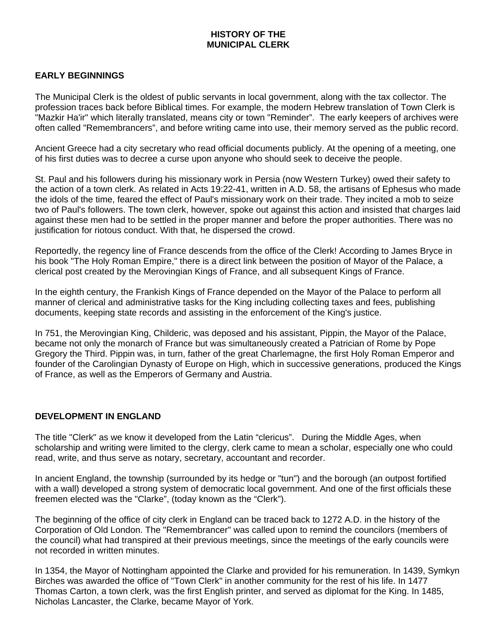## **HISTORY OF THE MUNICIPAL CLERK**

## **EARLY BEGINNINGS**

The Municipal Clerk is the oldest of public servants in local government, along with the tax collector. The profession traces back before Biblical times. For example, the modern Hebrew translation of Town Clerk is "Mazkir Ha'ir" which literally translated, means city or town "Reminder". The early keepers of archives were often called "Remembrancers", and before writing came into use, their memory served as the public record.

Ancient Greece had a city secretary who read official documents publicly. At the opening of a meeting, one of his first duties was to decree a curse upon anyone who should seek to deceive the people.

St. Paul and his followers during his missionary work in Persia (now Western Turkey) owed their safety to the action of a town clerk. As related in Acts 19:22-41, written in A.D. 58, the artisans of Ephesus who made the idols of the time, feared the effect of Paul's missionary work on their trade. They incited a mob to seize two of Paul's followers. The town clerk, however, spoke out against this action and insisted that charges laid against these men had to be settled in the proper manner and before the proper authorities. There was no justification for riotous conduct. With that, he dispersed the crowd.

Reportedly, the regency line of France descends from the office of the Clerk! According to James Bryce in his book "The Holy Roman Empire," there is a direct link between the position of Mayor of the Palace, a clerical post created by the Merovingian Kings of France, and all subsequent Kings of France.

In the eighth century, the Frankish Kings of France depended on the Mayor of the Palace to perform all manner of clerical and administrative tasks for the King including collecting taxes and fees, publishing documents, keeping state records and assisting in the enforcement of the King's justice.

In 751, the Merovingian King, Childeric, was deposed and his assistant, Pippin, the Mayor of the Palace, became not only the monarch of France but was simultaneously created a Patrician of Rome by Pope Gregory the Third. Pippin was, in turn, father of the great Charlemagne, the first Holy Roman Emperor and founder of the Carolingian Dynasty of Europe on High, which in successive generations, produced the Kings of France, as well as the Emperors of Germany and Austria.

## **DEVELOPMENT IN ENGLAND**

The title "Clerk" as we know it developed from the Latin "clericus". During the Middle Ages, when scholarship and writing were limited to the clergy, clerk came to mean a scholar, especially one who could read, write, and thus serve as notary, secretary, accountant and recorder.

In ancient England, the township (surrounded by its hedge or "tun") and the borough (an outpost fortified with a wall) developed a strong system of democratic local government. And one of the first officials these freemen elected was the "Clarke", (today known as the "Clerk").

The beginning of the office of city clerk in England can be traced back to 1272 A.D. in the history of the Corporation of Old London. The "Remembrancer" was called upon to remind the councilors (members of the council) what had transpired at their previous meetings, since the meetings of the early councils were not recorded in written minutes.

In 1354, the Mayor of Nottingham appointed the Clarke and provided for his remuneration. In 1439, Symkyn Birches was awarded the office of "Town Clerk" in another community for the rest of his life. In 1477 Thomas Carton, a town clerk, was the first English printer, and served as diplomat for the King. In 1485, Nicholas Lancaster, the Clarke, became Mayor of York.